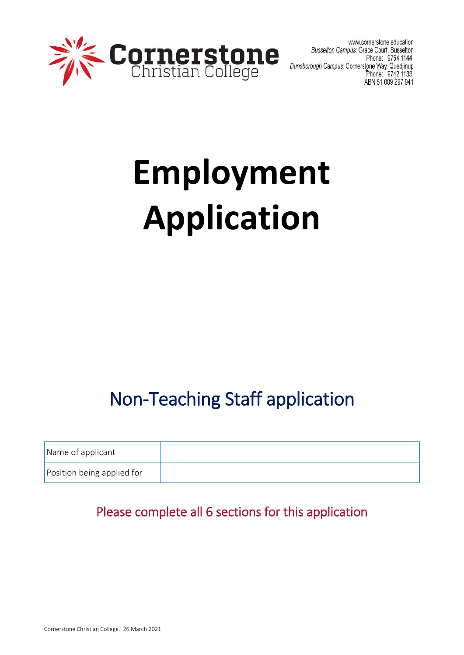

www.cornerstone.education Busselton Campus: Grace Court, Busselton Phone: 9754 1144 Dunsborough Campus: Cornerstone Way, Quedjinup<br>Dhone: 9742 1133 ABN 51 009 297 941

# **Employment Application**

## Non-Teaching Staff application

| Name of applicant          |  |
|----------------------------|--|
| Position being applied for |  |

## Please complete all 6 sections for this application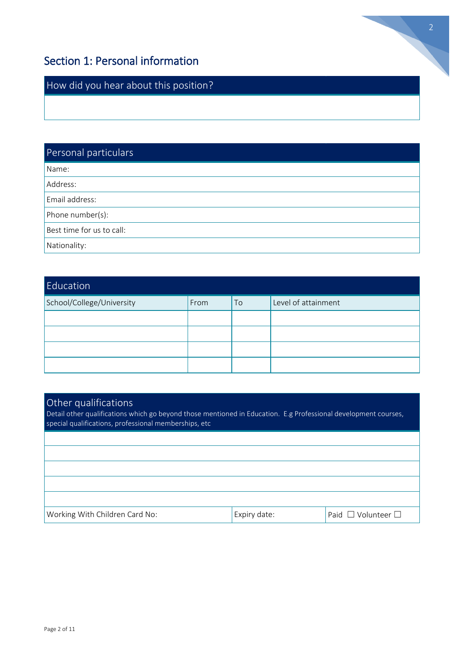## Section 1: Personal information

How did you hear about this position?

## Personal particulars Name: Address: Email address: Phone number(s): Best time for us to call: Nationality:

| Education                 |      |    |                     |
|---------------------------|------|----|---------------------|
| School/College/University | From | To | Level of attainment |
|                           |      |    |                     |
|                           |      |    |                     |
|                           |      |    |                     |
|                           |      |    |                     |

## Other qualifications

Detail other qualifications which go beyond those mentioned in Education. E.g Professional development courses, special qualifications, professional memberships, etc

| Working With Children Card No: | 'Expiry date: | Paid □ Volunteer □ |
|--------------------------------|---------------|--------------------|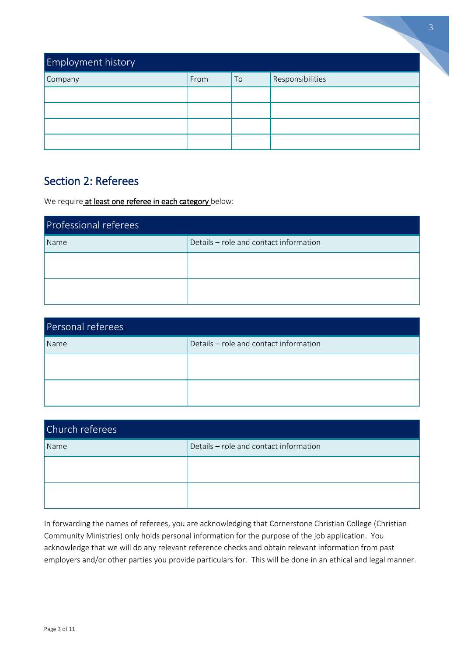| <b>Employment history</b> |      |    |                  | 3 |
|---------------------------|------|----|------------------|---|
| Company                   | From | To | Responsibilities |   |
|                           |      |    |                  |   |
|                           |      |    |                  |   |
|                           |      |    |                  |   |
|                           |      |    |                  |   |

### Section 2: Referees

We require at least one referee in each category below:

| Professional referees |                                        |  |  |
|-----------------------|----------------------------------------|--|--|
| Name                  | Details - role and contact information |  |  |
|                       |                                        |  |  |
|                       |                                        |  |  |
|                       |                                        |  |  |

| Personal referees |                                        |  |  |
|-------------------|----------------------------------------|--|--|
| Name              | Details - role and contact information |  |  |
|                   |                                        |  |  |
|                   |                                        |  |  |
|                   |                                        |  |  |

| Church referees |                                        |  |  |
|-----------------|----------------------------------------|--|--|
| Name            | Details - role and contact information |  |  |
|                 |                                        |  |  |
|                 |                                        |  |  |
|                 |                                        |  |  |

In forwarding the names of referees, you are acknowledging that Cornerstone Christian College (Christian Community Ministries) only holds personal information for the purpose of the job application. You acknowledge that we will do any relevant reference checks and obtain relevant information from past employers and/or other parties you provide particulars for. This will be done in an ethical and legal manner.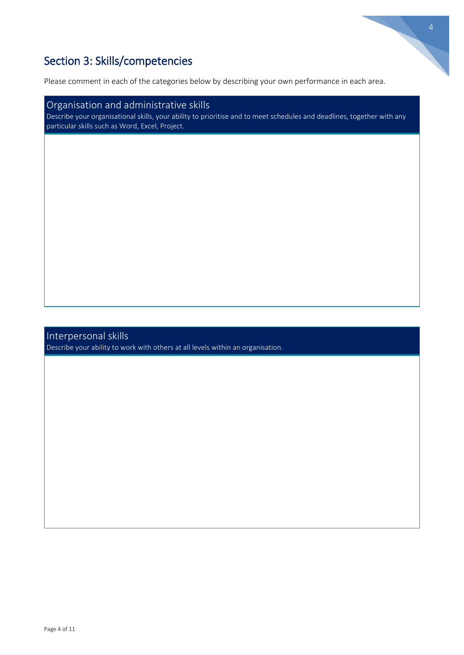

## Section 3: Skills/competencies

Please comment in each of the categories below by describing your own performance in each area.

#### Organisation and administrative skills

Describe your organisational skills, your ability to prioritise and to meet schedules and deadlines, together with any particular skills such as Word, Excel, Project.

#### Interpersonal skills

Describe your ability to work with others at all levels within an organisation.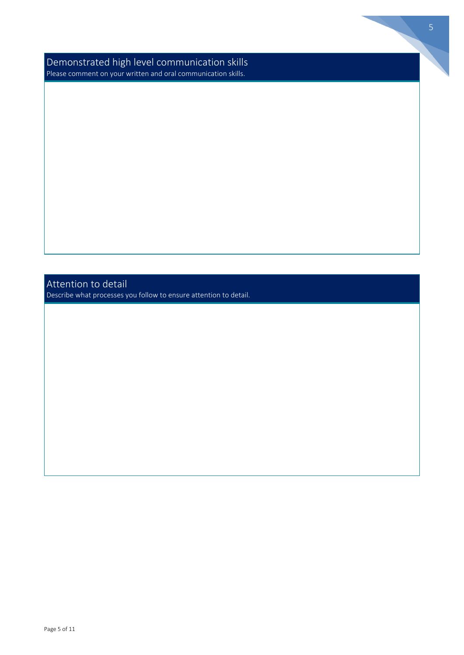Demonstrated high level communication skills Please comment on your written and oral communication skills.

#### Attention to detail

Describe what processes you follow to ensure attention to detail.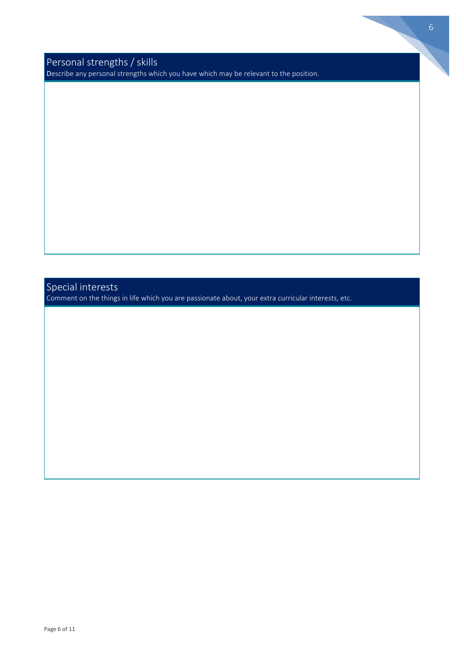Personal strengths / skills Describe any personal strengths which you have which may be relevant to the position.

## Special interests

Comment on the things in life which you are passionate about, your extra curricular interests, etc.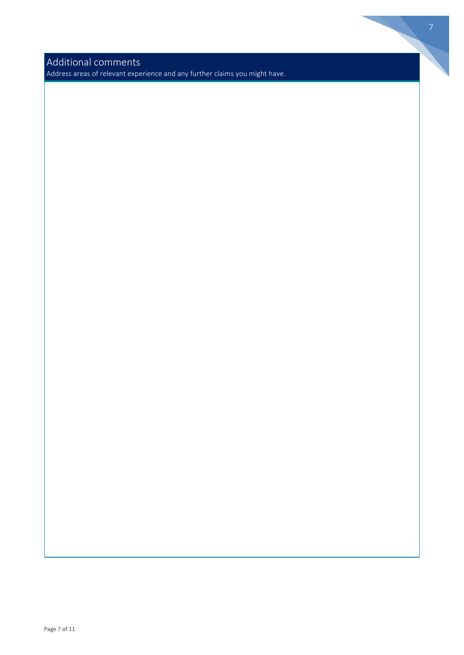Additional comments

Address areas of relevant experience and any further claims you might have.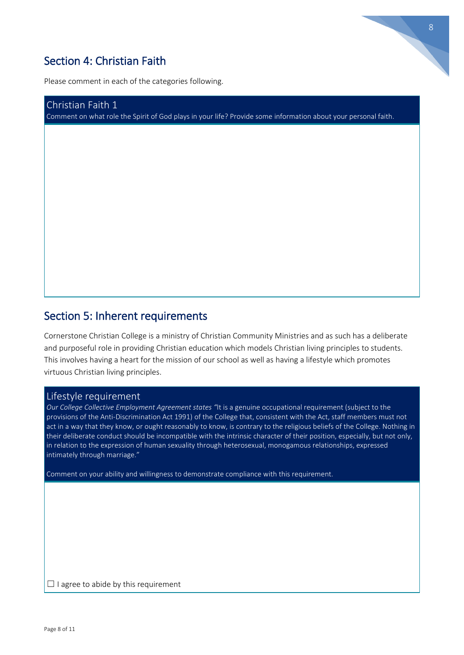## Section 4: Christian Faith

Please comment in each of the categories following.

Christian Faith 1 Comment on what role the Spirit of God plays in your life? Provide some information about your personal faith. 8

#### Section 5: Inherent requirements

Cornerstone Christian College is a ministry of Christian Community Ministries and as such has a deliberate and purposeful role in providing Christian education which models Christian living principles to students. This involves having a heart for the mission of our school as well as having a lifestyle which promotes virtuous Christian living principles.

#### Lifestyle requirement

*Our College Collective Employment Agreement states "*It is a genuine occupational requirement (subject to the provisions of the Anti-Discrimination Act 1991) of the College that, consistent with the Act, staff members must not act in a way that they know, or ought reasonably to know, is contrary to the religious beliefs of the College. Nothing in their deliberate conduct should be incompatible with the intrinsic character of their position, especially, but not only, in relation to the expression of human sexuality through heterosexual, monogamous relationships, expressed intimately through marriage."

Comment on your ability and willingness to demonstrate compliance with this requirement.

☐ I agree to abide by this requirement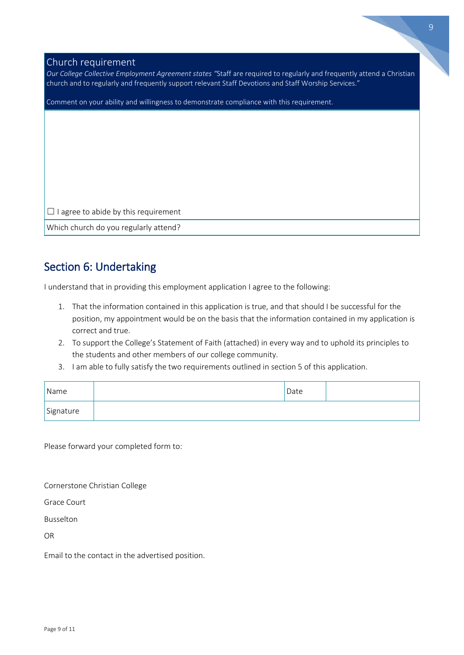## Church requirement

| Our College Collective Employment Agreement states "Staff are required to regularly and frequently attend a Christian, |
|------------------------------------------------------------------------------------------------------------------------|
| church and to regularly and frequently support relevant Staff Devotions and Staff Worship Services."                   |

Comment on your ability and willingness to demonstrate compliance with this requirement.

 $\Box$  I agree to abide by this requirement

Which church do you regularly attend?

#### Section 6: Undertaking

I understand that in providing this employment application I agree to the following:

- 1. That the information contained in this application is true, and that should I be successful for the position, my appointment would be on the basis that the information contained in my application is correct and true.
- 2. To support the College's Statement of Faith (attached) in every way and to uphold its principles to the students and other members of our college community.
- 3. I am able to fully satisfy the two requirements outlined in section 5 of this application.

| Name      | Date |  |
|-----------|------|--|
| Signature |      |  |

Please forward your completed form to:

Cornerstone Christian College

Grace Court

Busselton

OR

Email to the contact in the advertised position.

9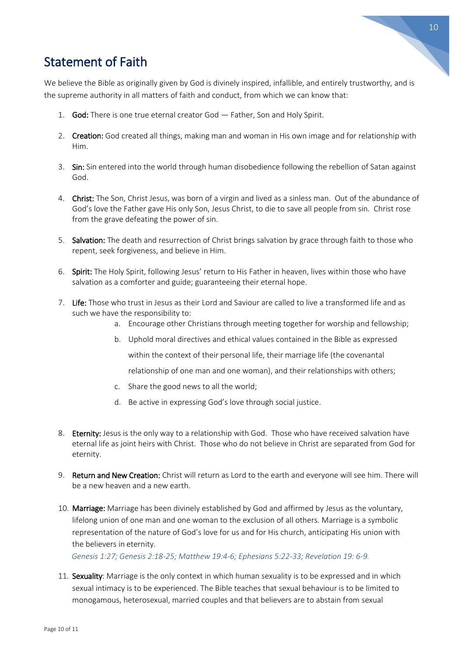

## Statement of Faith

We believe the Bible as originally given by God is divinely inspired, infallible, and entirely trustworthy, and is the supreme authority in all matters of faith and conduct, from which we can know that:

- 1. God: There is one true eternal creator God Father, Son and Holy Spirit.
- 2. Creation: God created all things, making man and woman in His own image and for relationship with Him.
- 3. Sin: Sin entered into the world through human disobedience following the rebellion of Satan against God.
- 4. Christ: The Son, Christ Jesus, was born of a virgin and lived as a sinless man. Out of the abundance of God's love the Father gave His only Son, Jesus Christ, to die to save all people from sin. Christ rose from the grave defeating the power of sin.
- 5. Salvation: The death and resurrection of Christ brings salvation by grace through faith to those who repent, seek forgiveness, and believe in Him.
- 6. Spirit: The Holy Spirit, following Jesus' return to His Father in heaven, lives within those who have salvation as a comforter and guide; guaranteeing their eternal hope.
- 7. Life: Those who trust in Jesus as their Lord and Saviour are called to live a transformed life and as such we have the responsibility to:
	- a. Encourage other Christians through meeting together for worship and fellowship;
	- b. Uphold moral directives and ethical values contained in the Bible as expressed

within the context of their personal life, their marriage life (the covenantal

relationship of one man and one woman), and their relationships with others;

- c. Share the good news to all the world;
- d. Be active in expressing God's love through social justice.
- 8. Eternity: Jesus is the only way to a relationship with God. Those who have received salvation have eternal life as joint heirs with Christ. Those who do not believe in Christ are separated from God for eternity.
- 9. Return and New Creation: Christ will return as Lord to the earth and everyone will see him. There will be a new heaven and a new earth.
- 10. Marriage: Marriage has been divinely established by God and affirmed by Jesus as the voluntary, lifelong union of one man and one woman to the exclusion of all others. Marriage is a symbolic representation of the nature of God's love for us and for His church, anticipating His union with the believers in eternity.

*Genesis 1:27; Genesis 2:18-25; Matthew 19:4-6; Ephesians 5:22-33; Revelation 19: 6-9.*

11. Sexuality: Marriage is the only context in which human sexuality is to be expressed and in which sexual intimacy is to be experienced. The Bible teaches that sexual behaviour is to be limited to monogamous, heterosexual, married couples and that believers are to abstain from sexual